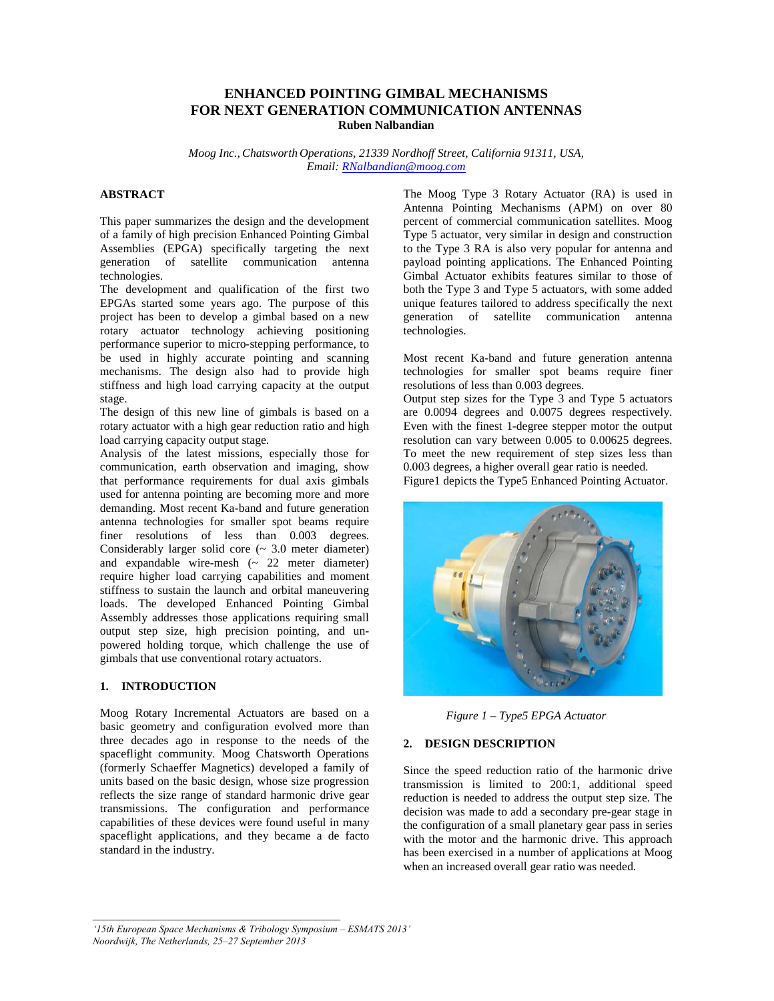# **ENHANCED POINTING GIMBAL MECHANISMS FOR NEXT GENERATION COMMUNICATION ANTENNAS Ruben Nalbandian**

*Moog Inc., Chatsworth Operations, 21339 Nordhoff Street, California 91311, USA, Email: RNalbandian@moog.com*

## **ABSTRACT**

This paper summarizes the design and the development of a family of high precision Enhanced Pointing Gimbal Assemblies (EPGA) specifically targeting the next generation of satellite communication antenna technologies.

The development and qualification of the first two EPGAs started some years ago. The purpose of this project has been to develop a gimbal based on a new rotary actuator technology achieving positioning performance superior to micro-stepping performance, to be used in highly accurate pointing and scanning mechanisms. The design also had to provide high stiffness and high load carrying capacity at the output stage.

The design of this new line of gimbals is based on a rotary actuator with a high gear reduction ratio and high load carrying capacity output stage.

Analysis of the latest missions, especially those for communication, earth observation and imaging, show that performance requirements for dual axis gimbals used for antenna pointing are becoming more and more demanding. Most recent Ka-band and future generation antenna technologies for smaller spot beams require finer resolutions of less than 0.003 degrees. Considerably larger solid core (~ 3.0 meter diameter) and expandable wire-mesh (~ 22 meter diameter) require higher load carrying capabilities and moment stiffness to sustain the launch and orbital maneuvering loads. The developed Enhanced Pointing Gimbal Assembly addresses those applications requiring small output step size, high precision pointing, and unpowered holding torque, which challenge the use of gimbals that use conventional rotary actuators.

## **1. INTRODUCTION**

Moog Rotary Incremental Actuators are based on a basic geometry and configuration evolved more than three decades ago in response to the needs of the spaceflight community. Moog Chatsworth Operations (formerly Schaeffer Magnetics) developed a family of units based on the basic design, whose size progression reflects the size range of standard harmonic drive gear transmissions. The configuration and performance capabilities of these devices were found useful in many spaceflight applications, and they became a de facto standard in the industry.

The Moog Type 3 Rotary Actuator (RA) is used in Antenna Pointing Mechanisms (APM) on over 80 percent of commercial communication satellites. Moog Type 5 actuator, very similar in design and construction to the Type 3 RA is also very popular for antenna and payload pointing applications. The Enhanced Pointing Gimbal Actuator exhibits features similar to those of both the Type 3 and Type 5 actuators, with some added unique features tailored to address specifically the next generation of satellite communication antenna technologies.

Most recent Ka-band and future generation antenna technologies for smaller spot beams require finer resolutions of less than 0.003 degrees.

Output step sizes for the Type 3 and Type 5 actuators are 0.0094 degrees and 0.0075 degrees respectively. Even with the finest 1-degree stepper motor the output resolution can vary between 0.005 to 0.00625 degrees. To meet the new requirement of step sizes less than 0.003 degrees, a higher overall gear ratio is needed.

Figure1 depicts the Type5 Enhanced Pointing Actuator.



*Figure 1 – Type5 EPGA Actuator* 

## **2. DESIGN DESCRIPTION**

Since the speed reduction ratio of the harmonic drive transmission is limited to 200:1, additional speed reduction is needed to address the output step size. The decision was made to add a secondary pre-gear stage in the configuration of a small planetary gear pass in series with the motor and the harmonic drive. This approach has been exercised in a number of applications at Moog when an increased overall gear ratio was needed.

*'15th European Space Mechanisms & Tribology Symposium – ESMATS 2013' Noordwijk, The Netherlands, 25–27 September 2013*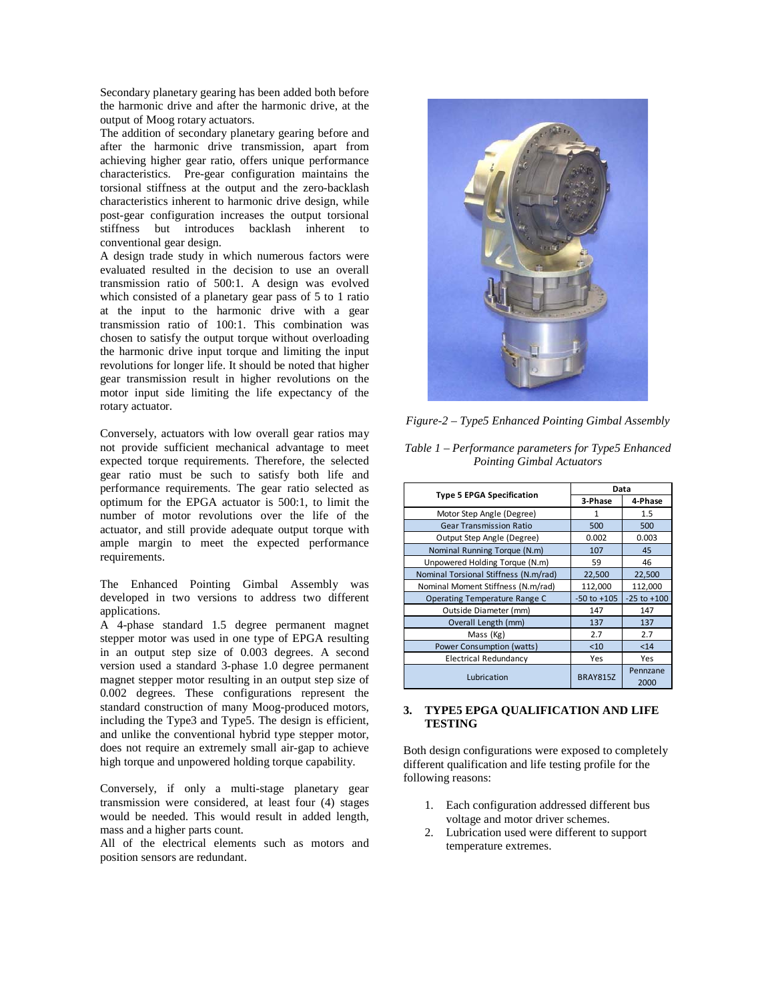Secondary planetary gearing has been added both before the harmonic drive and after the harmonic drive, at the output of Moog rotary actuators.

The addition of secondary planetary gearing before and after the harmonic drive transmission, apart from achieving higher gear ratio, offers unique performance characteristics. Pre-gear configuration maintains the torsional stiffness at the output and the zero-backlash characteristics inherent to harmonic drive design, while post-gear configuration increases the output torsional stiffness but introduces backlash inherent to conventional gear design.

A design trade study in which numerous factors were evaluated resulted in the decision to use an overall transmission ratio of 500:1. A design was evolved which consisted of a planetary gear pass of 5 to 1 ratio at the input to the harmonic drive with a gear transmission ratio of 100:1. This combination was chosen to satisfy the output torque without overloading the harmonic drive input torque and limiting the input revolutions for longer life. It should be noted that higher gear transmission result in higher revolutions on the motor input side limiting the life expectancy of the rotary actuator.

Conversely, actuators with low overall gear ratios may not provide sufficient mechanical advantage to meet expected torque requirements. Therefore, the selected gear ratio must be such to satisfy both life and performance requirements. The gear ratio selected as optimum for the EPGA actuator is 500:1, to limit the number of motor revolutions over the life of the actuator, and still provide adequate output torque with ample margin to meet the expected performance requirements.

The Enhanced Pointing Gimbal Assembly was developed in two versions to address two different applications.

A 4-phase standard 1.5 degree permanent magnet stepper motor was used in one type of EPGA resulting in an output step size of 0.003 degrees. A second version used a standard 3-phase 1.0 degree permanent magnet stepper motor resulting in an output step size of 0.002 degrees. These configurations represent the standard construction of many Moog-produced motors, including the Type3 and Type5. The design is efficient, and unlike the conventional hybrid type stepper motor, does not require an extremely small air-gap to achieve high torque and unpowered holding torque capability.

Conversely, if only a multi-stage planetary gear transmission were considered, at least four (4) stages would be needed. This would result in added length, mass and a higher parts count.

All of the electrical elements such as motors and position sensors are redundant.



*Figure-2 – Type5 Enhanced Pointing Gimbal Assembly* 

| Table $1$ – Performance parameters for Type5 Enhanced |  |
|-------------------------------------------------------|--|
| <b>Pointing Gimbal Actuators</b>                      |  |

|                                       | Data            |                  |
|---------------------------------------|-----------------|------------------|
| <b>Type 5 EPGA Specification</b>      | 3-Phase         | 4-Phase          |
| Motor Step Angle (Degree)             | 1               | 1.5              |
| <b>Gear Transmission Ratio</b>        | 500             | 500              |
| Output Step Angle (Degree)            | 0.002           | 0.003            |
| Nominal Running Torque (N.m)          | 107             | 45               |
| Unpowered Holding Torque (N.m)        | 59              | 46               |
| Nominal Torsional Stiffness (N.m/rad) | 22,500          | 22,500           |
| Nominal Moment Stiffness (N.m/rad)    | 112,000         | 112,000          |
| Operating Temperature Range C         | $-50$ to $+105$ | $-25$ to $+100$  |
| Outside Diameter (mm)                 | 147             | 147              |
| Overall Length (mm)                   | 137             | 137              |
| Mass (Kg)                             | 2.7             | 2.7              |
| Power Consumption (watts)             | $10$            | < 14             |
| <b>Electrical Redundancy</b>          | Yes             | Yes              |
| Lubrication                           | <b>BRAY815Z</b> | Pennzane<br>2000 |

## **3. TYPE5 EPGA QUALIFICATION AND LIFE TESTING**

Both design configurations were exposed to completely different qualification and life testing profile for the following reasons:

- 1. Each configuration addressed different bus voltage and motor driver schemes.
- 2. Lubrication used were different to support temperature extremes.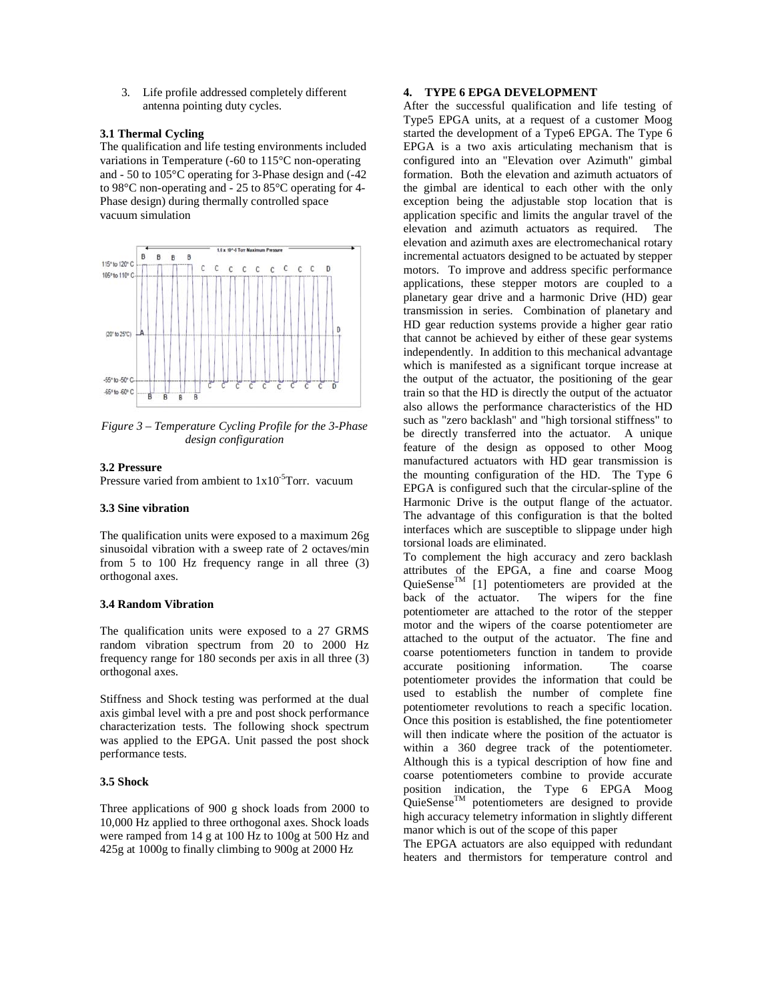3. Life profile addressed completely different antenna pointing duty cycles.

## **3.1 Thermal Cycling**

The qualification and life testing environments included variations in Temperature (-60 to 115°C non-operating and - 50 to 105°C operating for 3-Phase design and (-42 to 98°C non-operating and - 25 to 85°C operating for 4- Phase design) during thermally controlled space vacuum simulation



*Figure 3 – Temperature Cycling Profile for the 3-Phase design configuration* 

## **3.2 Pressure**

Pressure varied from ambient to  $1x10^{-5}$ Torr. vacuum

#### **3.3 Sine vibration**

The qualification units were exposed to a maximum 26g sinusoidal vibration with a sweep rate of 2 octaves/min from 5 to 100 Hz frequency range in all three (3) orthogonal axes.

#### **3.4 Random Vibration**

The qualification units were exposed to a 27 GRMS random vibration spectrum from 20 to 2000 Hz frequency range for 180 seconds per axis in all three (3) orthogonal axes.

Stiffness and Shock testing was performed at the dual axis gimbal level with a pre and post shock performance characterization tests. The following shock spectrum was applied to the EPGA. Unit passed the post shock performance tests.

#### **3.5 Shock**

Three applications of 900 g shock loads from 2000 to 10,000 Hz applied to three orthogonal axes. Shock loads were ramped from 14 g at 100 Hz to 100g at 500 Hz and 425g at 1000g to finally climbing to 900g at 2000 Hz

#### **4. TYPE 6 EPGA DEVELOPMENT**

After the successful qualification and life testing of Type5 EPGA units, at a request of a customer Moog started the development of a Type6 EPGA. The Type 6 EPGA is a two axis articulating mechanism that is configured into an "Elevation over Azimuth" gimbal formation. Both the elevation and azimuth actuators of the gimbal are identical to each other with the only exception being the adjustable stop location that is application specific and limits the angular travel of the elevation and azimuth actuators as required. The elevation and azimuth axes are electromechanical rotary incremental actuators designed to be actuated by stepper motors. To improve and address specific performance applications, these stepper motors are coupled to a planetary gear drive and a harmonic Drive (HD) gear transmission in series. Combination of planetary and HD gear reduction systems provide a higher gear ratio that cannot be achieved by either of these gear systems independently. In addition to this mechanical advantage which is manifested as a significant torque increase at the output of the actuator, the positioning of the gear train so that the HD is directly the output of the actuator also allows the performance characteristics of the HD such as "zero backlash" and "high torsional stiffness" to be directly transferred into the actuator. A unique feature of the design as opposed to other Moog manufactured actuators with HD gear transmission is the mounting configuration of the HD. The Type 6 EPGA is configured such that the circular-spline of the Harmonic Drive is the output flange of the actuator. The advantage of this configuration is that the bolted interfaces which are susceptible to slippage under high torsional loads are eliminated.

To complement the high accuracy and zero backlash attributes of the EPGA, a fine and coarse Moog QuieSense<sup>TM</sup> [1] potentiometers are provided at the back of the actuator. The wipers for the fine potentiometer are attached to the rotor of the stepper motor and the wipers of the coarse potentiometer are attached to the output of the actuator. The fine and coarse potentiometers function in tandem to provide accurate positioning information. The coarse potentiometer provides the information that could be used to establish the number of complete fine potentiometer revolutions to reach a specific location. Once this position is established, the fine potentiometer will then indicate where the position of the actuator is within a 360 degree track of the potentiometer. Although this is a typical description of how fine and coarse potentiometers combine to provide accurate position indication, the Type 6 EPGA Moog  $\Omega$ uieSense<sup>TM</sup> potentiometers are designed to provide high accuracy telemetry information in slightly different manor which is out of the scope of this paper

The EPGA actuators are also equipped with redundant heaters and thermistors for temperature control and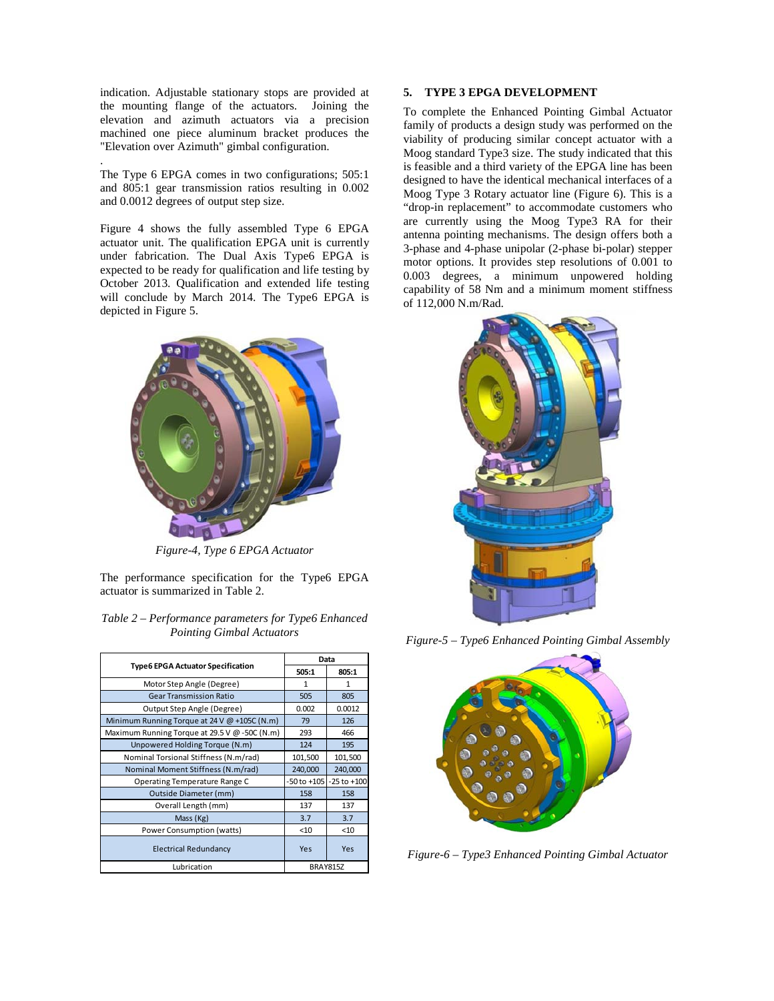indication. Adjustable stationary stops are provided at the mounting flange of the actuators. Joining the elevation and azimuth actuators via a precision machined one piece aluminum bracket produces the "Elevation over Azimuth" gimbal configuration.

The Type 6 EPGA comes in two configurations; 505:1 and 805:1 gear transmission ratios resulting in 0.002 and 0.0012 degrees of output step size.

.

Figure 4 shows the fully assembled Type 6 EPGA actuator unit. The qualification EPGA unit is currently under fabrication. The Dual Axis Type6 EPGA is expected to be ready for qualification and life testing by October 2013. Qualification and extended life testing will conclude by March 2014. The Type6 EPGA is depicted in Figure 5.



*Figure-4, Type 6 EPGA Actuator* 

The performance specification for the Type6 EPGA actuator is summarized in Table 2.

| Table $2$ – Performance parameters for Type6 Enhanced |  |
|-------------------------------------------------------|--|
| <b>Pointing Gimbal Actuators</b>                      |  |

|                                               | Data            |                 |
|-----------------------------------------------|-----------------|-----------------|
| <b>Type6 EPGA Actuator Specification</b>      | 505:1           | 805:1           |
| Motor Step Angle (Degree)                     | 1               | 1               |
| <b>Gear Transmission Ratio</b>                | 505             | 805             |
| Output Step Angle (Degree)                    | 0.002           | 0.0012          |
| Minimum Running Torque at 24 V @ +105C (N.m)  | 79              | 126             |
| Maximum Running Torque at 29.5 V @ -50C (N.m) | 293             | 466             |
| Unpowered Holding Torque (N.m)                | 124             | 195             |
| Nominal Torsional Stiffness (N.m/rad)         | 101,500         | 101,500         |
| Nominal Moment Stiffness (N.m/rad)            | 240,000         | 240,000         |
| Operating Temperature Range C                 | $-50$ to $+105$ | $-25$ to $+100$ |
| Outside Diameter (mm)                         | 158             | 158             |
| Overall Length (mm)                           | 137             | 137             |
| Mass (Kg)                                     | 3.7             | 3.7             |
| Power Consumption (watts)                     | < 10            | < 10            |
| <b>Electrical Redundancy</b>                  | Yes             | Yes             |
| Lubrication                                   |                 | <b>BRAY815Z</b> |

## **5. TYPE 3 EPGA DEVELOPMENT**

To complete the Enhanced Pointing Gimbal Actuator family of products a design study was performed on the viability of producing similar concept actuator with a Moog standard Type3 size. The study indicated that this is feasible and a third variety of the EPGA line has been designed to have the identical mechanical interfaces of a Moog Type 3 Rotary actuator line (Figure 6). This is a "drop-in replacement" to accommodate customers who are currently using the Moog Type3 RA for their antenna pointing mechanisms. The design offers both a 3-phase and 4-phase unipolar (2-phase bi-polar) stepper motor options. It provides step resolutions of 0.001 to 0.003 degrees, a minimum unpowered holding capability of 58 Nm and a minimum moment stiffness of 112,000 N.m/Rad.



*Figure-5 – Type6 Enhanced Pointing Gimbal Assembly*



*Figure-6 – Type3 Enhanced Pointing Gimbal Actuator*